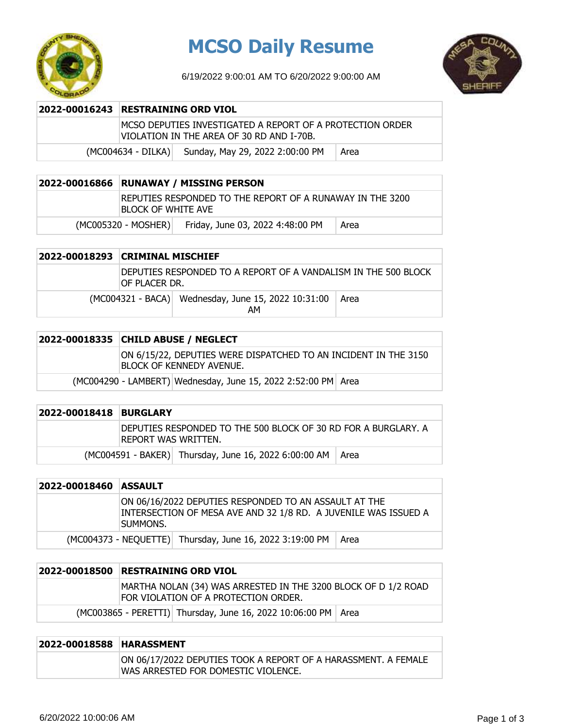

## **MCSO Daily Resume**

6/19/2022 9:00:01 AM TO 6/20/2022 9:00:00 AM



| 2022-00016243 RESTRAINING ORD VIOL                                                                      |      |  |
|---------------------------------------------------------------------------------------------------------|------|--|
| IMCSO DEPUTIES INVESTIGATED A REPORT OF A PROTECTION ORDER<br>VIOLATION IN THE AREA OF 30 RD AND I-70B. |      |  |
| (MC004634 - DILKA) Sunday, May 29, 2022 2:00:00 PM                                                      | Area |  |

| 2022-00016866 RUNAWAY / MISSING PERSON                                           |                                  |      |
|----------------------------------------------------------------------------------|----------------------------------|------|
| IREPUTIES RESPONDED TO THE REPORT OF A RUNAWAY IN THE 3200<br>BLOCK OF WHITE AVE |                                  |      |
| $(MCOO5320 - MOSHER)$                                                            | Friday, June 03, 2022 4:48:00 PM | Area |

| 2022-00018293 CRIMINAL MISCHIEF                                                  |                                                           |      |
|----------------------------------------------------------------------------------|-----------------------------------------------------------|------|
| DEPUTIES RESPONDED TO A REPORT OF A VANDALISM IN THE 500 BLOCK<br>IOF PLACER DR. |                                                           |      |
|                                                                                  | (MC004321 - BACA) Wednesday, June 15, 2022 10:31:00<br>AМ | Area |

|                                                               | 2022-00018335 CHILD ABUSE / NEGLECT                                                         |  |  |
|---------------------------------------------------------------|---------------------------------------------------------------------------------------------|--|--|
|                                                               | ON 6/15/22, DEPUTIES WERE DISPATCHED TO AN INCIDENT IN THE 3150<br>BLOCK OF KENNEDY AVENUE. |  |  |
| (MC004290 - LAMBERT) Wednesday, June 15, 2022 2:52:00 PM Area |                                                                                             |  |  |

| 2022-00018418 | <b>BURGLARY</b>                                                                         |
|---------------|-----------------------------------------------------------------------------------------|
|               | IDEPUTIES RESPONDED TO THE 500 BLOCK OF 30 RD FOR A BURGLARY. A<br>IREPORT WAS WRITTEN. |
|               | (MC004591 - BAKER) Thursday, June 16, 2022 6:00:00 AM<br>- Area                         |

| 2022-00018460 | <b>ASSAULT</b>                                                                                                                        |
|---------------|---------------------------------------------------------------------------------------------------------------------------------------|
|               | ON 06/16/2022 DEPUTIES RESPONDED TO AN ASSAULT AT THE<br>INTERSECTION OF MESA AVE AND 32 1/8 RD. A JUVENILE WAS ISSUED A<br>Isummons. |
|               | (MC004373 - NEQUETTE) Thursday, June 16, 2022 3:19:00 PM<br>Area                                                                      |

| 2022-00018500 | <b>RESTRAINING ORD VIOL</b>                                                                            |                                                                 |  |
|---------------|--------------------------------------------------------------------------------------------------------|-----------------------------------------------------------------|--|
|               | MARTHA NOLAN (34) WAS ARRESTED IN THE 3200 BLOCK OF D 1/2 ROAD<br>FOR VIOLATION OF A PROTECTION ORDER. |                                                                 |  |
|               |                                                                                                        | (MC003865 - PERETTI) Thursday, June 16, 2022 10:06:00 PM   Area |  |

### **2022-00018588 HARASSMENT**

ON 06/17/2022 DEPUTIES TOOK A REPORT OF A HARASSMENT. A FEMALE WAS ARRESTED FOR DOMESTIC VIOLENCE.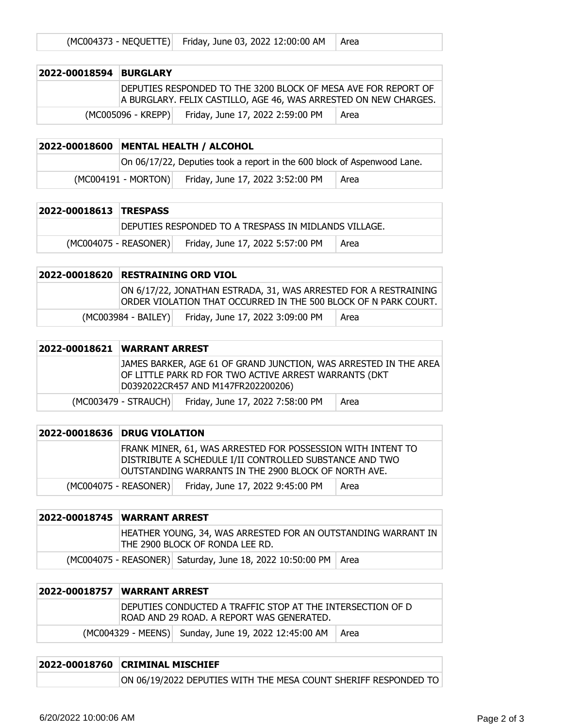|  | (MC004373 - NEQUETTE) Friday, June 03, 2022 12:00:00 AM   Area |  |
|--|----------------------------------------------------------------|--|
|--|----------------------------------------------------------------|--|

| 2022-00018594 BURGLARY |                      |                                                                                                                                    |      |
|------------------------|----------------------|------------------------------------------------------------------------------------------------------------------------------------|------|
|                        |                      | DEPUTIES RESPONDED TO THE 3200 BLOCK OF MESA AVE FOR REPORT OF<br>A BURGLARY. FELIX CASTILLO, AGE 46, WAS ARRESTED ON NEW CHARGES. |      |
|                        | $(MCOO5096 - KREPP)$ | Friday, June 17, 2022 2:59:00 PM                                                                                                   | Area |

#### **2022-00018600 MENTAL HEALTH / ALCOHOL** On 06/17/22, Deputies took a report in the 600 block of Aspenwood Lane.  $(MCOO4191 - MORTON)$  Friday, June 17, 2022 3:52:00 PM  $\vert$  Area

| 2022-00018613 TRESPASS |                                                       |                                  |      |
|------------------------|-------------------------------------------------------|----------------------------------|------|
|                        | DEPUTIES RESPONDED TO A TRESPASS IN MIDLANDS VILLAGE. |                                  |      |
|                        | (MC004075 - REASONER)                                 | Friday, June 17, 2022 5:57:00 PM | Area |

#### **2022-00018620 RESTRAINING ORD VIOL** ON 6/17/22, JONATHAN ESTRADA, 31, WAS ARRESTED FOR A RESTRAINING ORDER VIOLATION THAT OCCURRED IN THE 500 BLOCK OF N PARK COURT. (MC003984 - BAILEY) Friday, June 17, 2022 3:09:00 PM | Area

| 2022-00018621 WARRANT ARREST |                      |                                                                                                                                                                 |      |
|------------------------------|----------------------|-----------------------------------------------------------------------------------------------------------------------------------------------------------------|------|
|                              |                      | JAMES BARKER, AGE 61 OF GRAND JUNCTION, WAS ARRESTED IN THE AREA<br>OF LITTLE PARK RD FOR TWO ACTIVE ARREST WARRANTS (DKT<br>D0392022CR457 AND M147FR202200206) |      |
|                              | (MC003479 - STRAUCH) | Friday, June 17, 2022 7:58:00 PM                                                                                                                                | Area |

| 2022-00018636 DRUG VIOLATION                                                                                                                                                   |      |
|--------------------------------------------------------------------------------------------------------------------------------------------------------------------------------|------|
| FRANK MINER, 61, WAS ARRESTED FOR POSSESSION WITH INTENT TO<br>DISTRIBUTE A SCHEDULE I/II CONTROLLED SUBSTANCE AND TWO<br>OUTSTANDING WARRANTS IN THE 2900 BLOCK OF NORTH AVE. |      |
| Friday, June 17, 2022 9:45:00 PM<br>(MC004075 - REASONER)                                                                                                                      | Area |

|                                                                  | 2022-00018745 WARRANT ARREST                                                                     |  |  |
|------------------------------------------------------------------|--------------------------------------------------------------------------------------------------|--|--|
|                                                                  | HEATHER YOUNG, 34, WAS ARRESTED FOR AN OUTSTANDING WARRANT IN<br>THE 2900 BLOCK OF RONDA LEE RD. |  |  |
| (MC004075 - REASONER) Saturday, June 18, 2022 10:50:00 PM   Area |                                                                                                  |  |  |

| 2022-00018757  WARRANT ARREST                                                                            |                                                      |      |
|----------------------------------------------------------------------------------------------------------|------------------------------------------------------|------|
| IDEPUTIES CONDUCTED A TRAFFIC STOP AT THE INTERSECTION OF D<br>ROAD AND 29 ROAD. A REPORT WAS GENERATED. |                                                      |      |
|                                                                                                          | (MC004329 - MEENS) Sunday, June 19, 2022 12:45:00 AM | Area |

| 2022-00018760 CRIMINAL MISCHIEF                                 |  |  |
|-----------------------------------------------------------------|--|--|
| ON 06/19/2022 DEPUTIES WITH THE MESA COUNT SHERIFF RESPONDED TO |  |  |